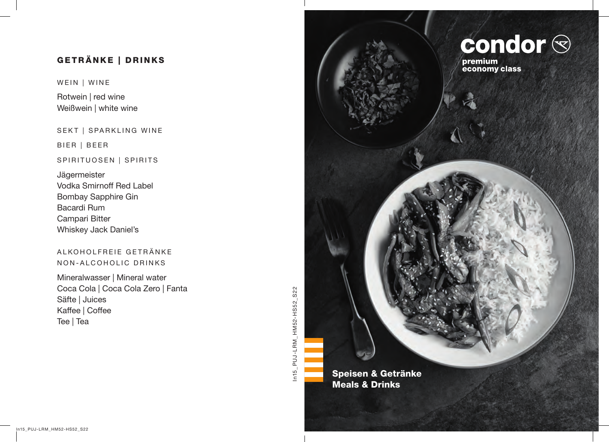# GETRÄNKE | DRINKS

WEIN | WINE

Rotwein | red wine Weißwein | white wine

SEKT | SPARKLING WINE

BIER | BEER

#### SPIRITUOSEN | SPIRITS

Jägermeister Vodka Smirnoff Red Label Bombay Sapphire Gin Bacardi Rum Campari Bitter Whiskey Jack Daniel's

### ALKOHOLFREIE GETRÄNKE NON-ALCOHOLIC DRINKS

Mineralwasser | Mineral water Coca Cola | Coca Cola Zero | Fanta Säfte | Juices Kaffee | Coffee Tee | Tea

In15\_PUJ-LRM\_HM52-HS52\_S22 In15\_PUJ-LRM\_HM52-HS52\_S22